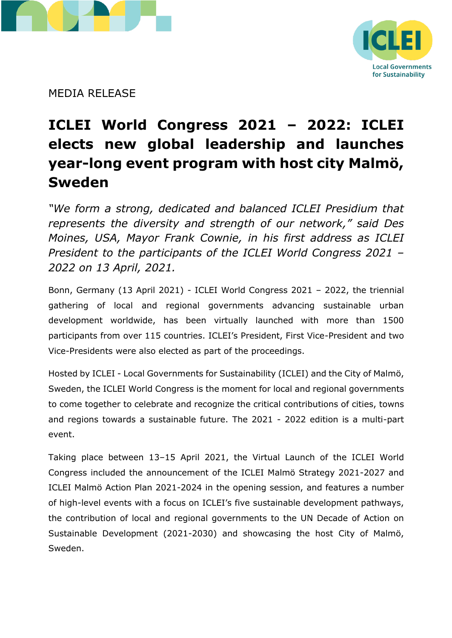



MEDIA RELEASE

# **ICLEI World Congress 2021 – 2022: ICLEI elects new global leadership and launches year-long event program with host city Malmö, Sweden**

*"We form a strong, dedicated and balanced ICLEI Presidium that represents the diversity and strength of our network," said Des Moines, USA, Mayor Frank Cownie, in his first address as ICLEI President to the participants of the ICLEI World Congress 2021 – 2022 on 13 April, 2021.*

Bonn, Germany (13 April 2021) - ICLEI World Congress 2021 – 2022, the triennial gathering of local and regional governments advancing sustainable urban development worldwide, has been virtually launched with more than 1500 participants from over 115 countries. ICLEI's President, First Vice-President and two Vice-Presidents were also elected as part of the proceedings.

Hosted by ICLEI - Local Governments for Sustainability (ICLEI) and the City of Malmö, Sweden, the ICLEI World Congress is the moment for local and regional governments to come together to celebrate and recognize the critical contributions of cities, towns and regions towards a sustainable future. The 2021 - 2022 edition is a multi-part event.

Taking place between 13–15 April 2021, the Virtual Launch of the ICLEI World Congress included the announcement of the ICLEI Malmö Strategy 2021-2027 and ICLEI Malmö Action Plan 2021-2024 in the opening session, and features a number of high-level events with a focus on ICLEI's five sustainable development pathways, the contribution of local and regional governments to the UN Decade of Action on Sustainable Development (2021-2030) and showcasing the host City of Malmö, Sweden.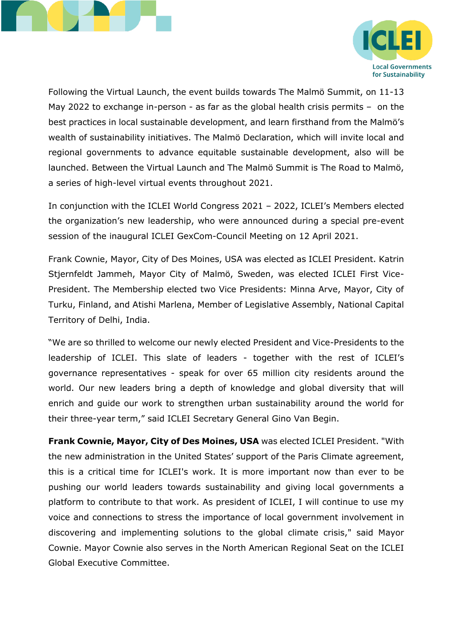



Following the Virtual Launch, the event builds towards The Malmö Summit, on 11-13 May 2022 to exchange in-person - as far as the global health crisis permits – on the best practices in local sustainable development, and learn firsthand from the Malmö's wealth of sustainability initiatives. The Malmö Declaration, which will invite local and regional governments to advance equitable sustainable development, also will be launched. Between the Virtual Launch and The Malmö Summit is The Road to Malmö, a series of high-level virtual events throughout 2021.

In conjunction with the ICLEI World Congress 2021 – 2022, ICLEI's Members elected the organization's new leadership, who were announced during a special pre-event session of the inaugural ICLEI GexCom-Council Meeting on 12 April 2021.

Frank Cownie, Mayor, City of Des Moines, USA was elected as ICLEI President. Katrin Stjernfeldt Jammeh, Mayor City of Malmö, Sweden, was elected ICLEI First Vice-President. The Membership elected two Vice Presidents: Minna Arve, Mayor, City of Turku, Finland, and Atishi Marlena, Member of Legislative Assembly, National Capital Territory of Delhi, India.

"We are so thrilled to welcome our newly elected President and Vice-Presidents to the leadership of ICLEI. This slate of leaders - together with the rest of ICLEI's governance representatives - speak for over 65 million city residents around the world. Our new leaders bring a depth of knowledge and global diversity that will enrich and guide our work to strengthen urban sustainability around the world for their three-year term," said ICLEI Secretary General Gino Van Begin.

**Frank Cownie, Mayor, City of Des Moines, USA** was elected ICLEI President. "With the new administration in the United States' support of the Paris Climate agreement, this is a critical time for ICLEI's work. It is more important now than ever to be pushing our world leaders towards sustainability and giving local governments a platform to contribute to that work. As president of ICLEI, I will continue to use my voice and connections to stress the importance of local government involvement in discovering and implementing solutions to the global climate crisis," said Mayor Cownie. Mayor Cownie also serves in the North American Regional Seat on the ICLEI Global Executive Committee.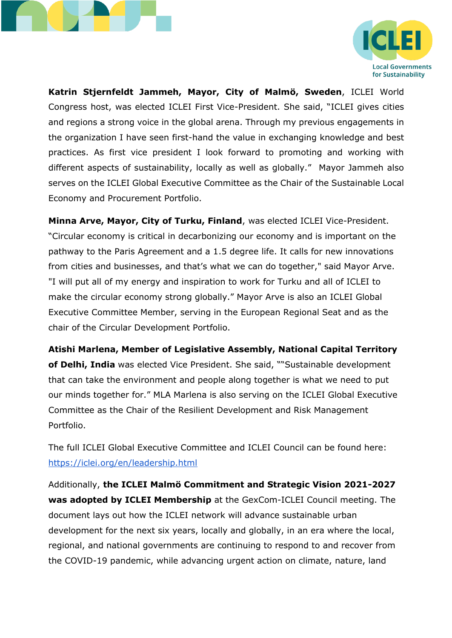



**Katrin Stjernfeldt Jammeh, Mayor, City of Malmö, Sweden**, ICLEI World Congress host, was elected ICLEI First Vice-President. She said, "ICLEI gives cities and regions a strong voice in the global arena. Through my previous engagements in the organization I have seen first-hand the value in exchanging knowledge and best practices. As first vice president I look forward to promoting and working with different aspects of sustainability, locally as well as globally." Mayor Jammeh also serves on the ICLEI Global Executive Committee as the Chair of the Sustainable Local Economy and Procurement Portfolio.

**Minna Arve, Mayor, City of Turku, Finland**, was elected ICLEI Vice-President. "Circular economy is critical in decarbonizing our economy and is important on the pathway to the Paris Agreement and a 1.5 degree life. It calls for new innovations from cities and businesses, and that's what we can do together," said Mayor Arve. "I will put all of my energy and inspiration to work for Turku and all of ICLEI to make the circular economy strong globally." Mayor Arve is also an ICLEI Global Executive Committee Member, serving in the European Regional Seat and as the chair of the Circular Development Portfolio.

**Atishi Marlena, Member of Legislative Assembly, National Capital Territory of Delhi, India** was elected Vice President. She said, ""Sustainable development that can take the environment and people along together is what we need to put our minds together for." MLA Marlena is also serving on the ICLEI Global Executive Committee as the Chair of the Resilient Development and Risk Management Portfolio.

The full ICLEI Global Executive Committee and ICLEI Council can be found here: <https://iclei.org/en/leadership.html>

Additionally, **the ICLEI Malmö Commitment and Strategic Vision 2021-2027 was adopted by ICLEI Membership** at the GexCom-ICLEI Council meeting. The document lays out how the ICLEI network will advance sustainable urban development for the next six years, locally and globally, in an era where the local, regional, and national governments are continuing to respond to and recover from the COVID-19 pandemic, while advancing urgent action on climate, nature, land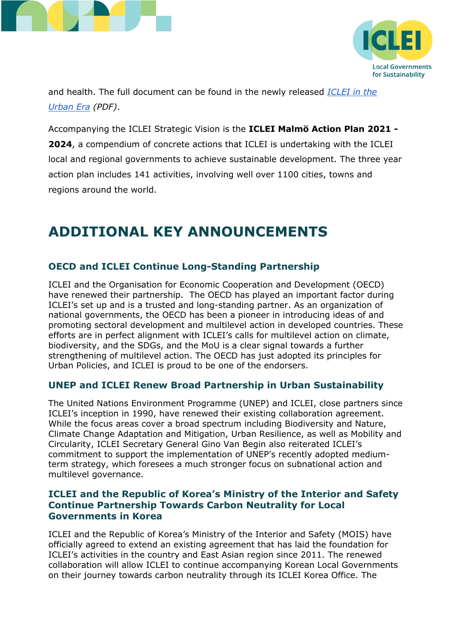



and health. The full document can be found in the newly released *[ICLEI in the](https://e-lib.iclei.org/publications/ICLEI_in_the_Urban_Era_2021.pdf)  [Urban Era](https://e-lib.iclei.org/publications/ICLEI_in_the_Urban_Era_2021.pdf) (PDF)*.

Accompanying the ICLEI Strategic Vision is the **ICLEI Malmö Action Plan 2021 - 2024**, a compendium of concrete actions that ICLEI is undertaking with the ICLEI local and regional governments to achieve sustainable development. The three year action plan includes 141 activities, involving well over 1100 cities, towns and regions around the world.

# **ADDITIONAL KEY ANNOUNCEMENTS**

# **OECD and ICLEI Continue Long-Standing Partnership**

ICLEI and the Organisation for Economic Cooperation and Development (OECD) have renewed their partnership. The OECD has played an important factor during ICLEI's set up and is a trusted and long-standing partner. As an organization of national governments, the OECD has been a pioneer in introducing ideas of and promoting sectoral development and multilevel action in developed countries. These efforts are in perfect alignment with ICLEI's calls for multilevel action on climate, biodiversity, and the SDGs, and the MoU is a clear signal towards a further strengthening of multilevel action. The OECD has just adopted its principles for Urban Policies, and ICLEI is proud to be one of the endorsers.

# **UNEP and ICLEI Renew Broad Partnership in Urban Sustainability**

The United Nations Environment Programme (UNEP) and ICLEI, close partners since ICLEI's inception in 1990, have renewed their existing collaboration agreement. While the focus areas cover a broad spectrum including Biodiversity and Nature, Climate Change Adaptation and Mitigation, Urban Resilience, as well as Mobility and Circularity, ICLEI Secretary General Gino Van Begin also reiterated ICLEI's commitment to support the implementation of UNEP's recently adopted mediumterm strategy, which foresees a much stronger focus on subnational action and multilevel governance.

## **ICLEI and the Republic of Korea's Ministry of the Interior and Safety Continue Partnership Towards Carbon Neutrality for Local Governments in Korea**

ICLEI and the Republic of Korea's Ministry of the Interior and Safety (MOIS) have officially agreed to extend an existing agreement that has laid the foundation for ICLEI's activities in the country and East Asian region since 2011. The renewed collaboration will allow ICLEI to continue accompanying Korean Local Governments on their journey towards carbon neutrality through its ICLEI Korea Office. The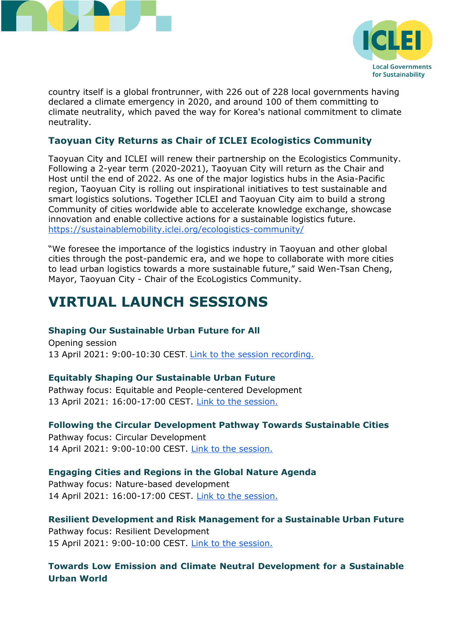



country itself is a global frontrunner, with 226 out of 228 local governments having declared a climate emergency in 2020, and around 100 of them committing to climate neutrality, which paved the way for Korea's national commitment to climate neutrality.

## **Taoyuan City Returns as Chair of ICLEI Ecologistics Community**

Taoyuan City and ICLEI will renew their partnership on the Ecologistics Community. Following a 2-year term (2020-2021), Taoyuan City will return as the Chair and Host until the end of 2022. As one of the major logistics hubs in the Asia-Pacific region, Taoyuan City is rolling out inspirational initiatives to test sustainable and smart logistics solutions. Together ICLEI and Taoyuan City aim to build a strong Community of cities worldwide able to accelerate knowledge exchange, showcase innovation and enable collective actions for a sustainable logistics future. <https://sustainablemobility.iclei.org/ecologistics-community/>

"We foresee the importance of the logistics industry in Taoyuan and other global cities through the post-pandemic era, and we hope to collaborate with more cities to lead urban logistics towards a more sustainable future," said Wen-Tsan Cheng, Mayor, Taoyuan City - Chair of the EcoLogistics Community.

# **VIRTUAL LAUNCH SESSIONS**

#### **Shaping Our Sustainable Urban Future for All**

Opening session 13 April 2021: 9:00-10:30 CEST. [Link to the session recording.](https://worldcongress.iclei.org/update/shaping-our-sustainable-urban-future-for-all/)

#### **Equitably Shaping Our Sustainable Urban Future**

Pathway focus: Equitable and People-centered Development 13 April 2021: 16:00-17:00 CEST. [Link to the session.](https://worldcongress.iclei.org/update/equitable-and-people-centered-development/)

#### **Following the Circular Development Pathway Towards Sustainable Cities**

Pathway focus: Circular Development 14 April 2021: 9:00-10:00 CEST. [Link to the session.](https://worldcongress.iclei.org/update/circular-development/)

#### **Engaging Cities and Regions in the Global Nature Agenda**

Pathway focus: Nature-based development 14 April 2021: 16:00-17:00 CEST. [Link to the session.](https://worldcongress.iclei.org/update/nature-based-development/)

#### **Resilient Development and Risk Management for a Sustainable Urban Future**

Pathway focus: Resilient Development 15 April 2021: 9:00-10:00 CEST. [Link to the session.](https://worldcongress.iclei.org/update/resilient-development/)

## **Towards Low Emission and Climate Neutral Development for a Sustainable Urban World**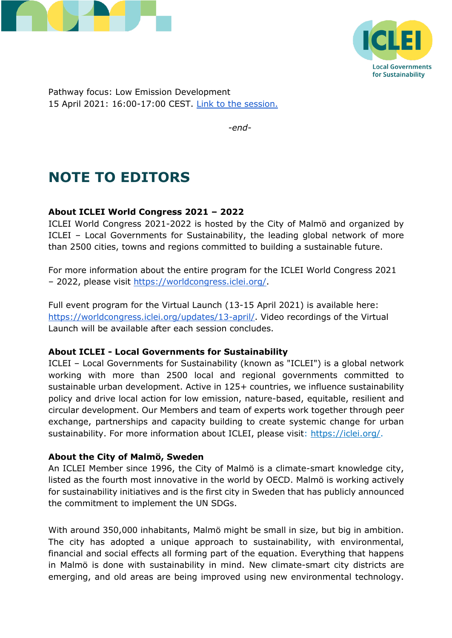



Pathway focus: Low Emission Development 15 April 2021: 16:00-17:00 CEST. [Link to the session.](https://worldcongress.iclei.org/update/low-emission-development/)

*-end-*

# **NOTE TO EDITORS**

## **About ICLEI World Congress 2021 – 2022**

ICLEI World Congress 2021-2022 is hosted by the City of Malmö and organized by ICLEI – Local Governments for Sustainability, the leading global network of more than 2500 cities, towns and regions committed to building a sustainable future.

For more information about the entire program for the ICLEI World Congress 2021 – 2022, please visit [https://worldcongress.iclei.org/.](https://worldcongress.iclei.org/)

Full event program for the Virtual Launch (13-15 April 2021) is available here: [https://worldcongress.iclei.org/updates/13-april/.](https://worldcongress.iclei.org/updates/13-april/) Video recordings of the Virtual Launch will be available after each session concludes.

#### **About ICLEI - Local Governments for Sustainability**

ICLEI – Local Governments for Sustainability (known as "ICLEI") is a global network working with more than 2500 local and regional governments committed to sustainable urban development. Active in 125+ countries, we influence sustainability policy and drive local action for low emission, nature-based, equitable, resilient and circular development. Our Members and team of experts work together through peer exchange, partnerships and capacity building to create systemic change for urban sustainability. For more information about ICLEI, please visit: [https://iclei.org/.](https://iclei.org/)

## **About the City of Malmö, Sweden**

An ICLEI Member since 1996, the City of Malmö is a climate-smart knowledge city, listed as the fourth most innovative in the world by OECD. Malmö is working actively for sustainability initiatives and is the first city in Sweden that has publicly announced the commitment to implement the UN SDGs.

With around 350,000 inhabitants, Malmö might be small in size, but big in ambition. The city has adopted a unique approach to sustainability, with environmental, financial and social effects all forming part of the equation. Everything that happens in Malmö is done with sustainability in mind. New climate-smart city districts are emerging, and old areas are being improved using new environmental technology.